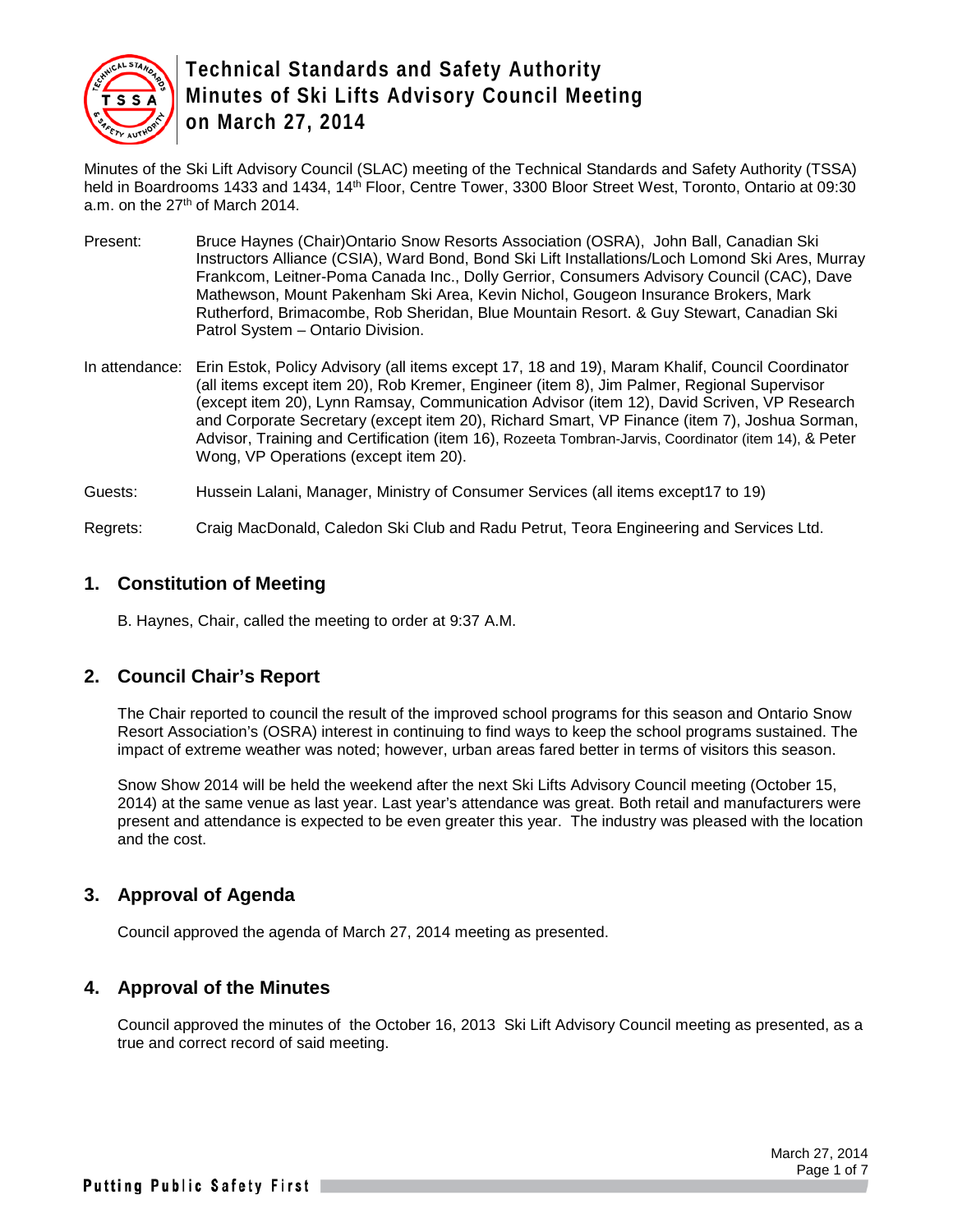

Minutes of the Ski Lift Advisory Council (SLAC) meeting of the Technical Standards and Safety Authority (TSSA) held in Boardrooms 1433 and 1434, 14<sup>th</sup> Floor, Centre Tower, 3300 Bloor Street West, Toronto, Ontario at 09:30 a.m. on the 27<sup>th</sup> of March 2014.

- Present: Bruce Haynes (Chair)Ontario Snow Resorts Association (OSRA), John Ball, Canadian Ski Instructors Alliance (CSIA), Ward Bond, Bond Ski Lift Installations/Loch Lomond Ski Ares, Murray Frankcom, Leitner-Poma Canada Inc., Dolly Gerrior, Consumers Advisory Council (CAC), Dave Mathewson, Mount Pakenham Ski Area, Kevin Nichol, Gougeon Insurance Brokers, Mark Rutherford, Brimacombe, Rob Sheridan, Blue Mountain Resort. & Guy Stewart, Canadian Ski Patrol System – Ontario Division.
- In attendance: Erin Estok, Policy Advisory (all items except 17, 18 and 19), Maram Khalif, Council Coordinator (all items except item 20), Rob Kremer, Engineer (item 8), Jim Palmer, Regional Supervisor (except item 20), Lynn Ramsay, Communication Advisor (item 12), David Scriven, VP Research and Corporate Secretary (except item 20), Richard Smart, VP Finance (item 7), Joshua Sorman, Advisor, Training and Certification (item 16), Rozeeta Tombran-Jarvis, Coordinator (item 14), & Peter Wong, VP Operations (except item 20).

Guests: Hussein Lalani, Manager, Ministry of Consumer Services (all items except17 to 19)

Regrets: Craig MacDonald, Caledon Ski Club and Radu Petrut, Teora Engineering and Services Ltd.

#### **1. Constitution of Meeting**

B. Haynes, Chair, called the meeting to order at 9:37 A.M.

## **2. Council Chair's Report**

The Chair reported to council the result of the improved school programs for this season and Ontario Snow Resort Association's (OSRA) interest in continuing to find ways to keep the school programs sustained. The impact of extreme weather was noted; however, urban areas fared better in terms of visitors this season.

Snow Show 2014 will be held the weekend after the next Ski Lifts Advisory Council meeting (October 15, 2014) at the same venue as last year. Last year's attendance was great. Both retail and manufacturers were present and attendance is expected to be even greater this year. The industry was pleased with the location and the cost.

#### **3. Approval of Agenda**

Council approved the agenda of March 27, 2014 meeting as presented.

#### **4. Approval of the Minutes**

Council approved the minutes of the October 16, 2013 Ski Lift Advisory Council meeting as presented, as a true and correct record of said meeting.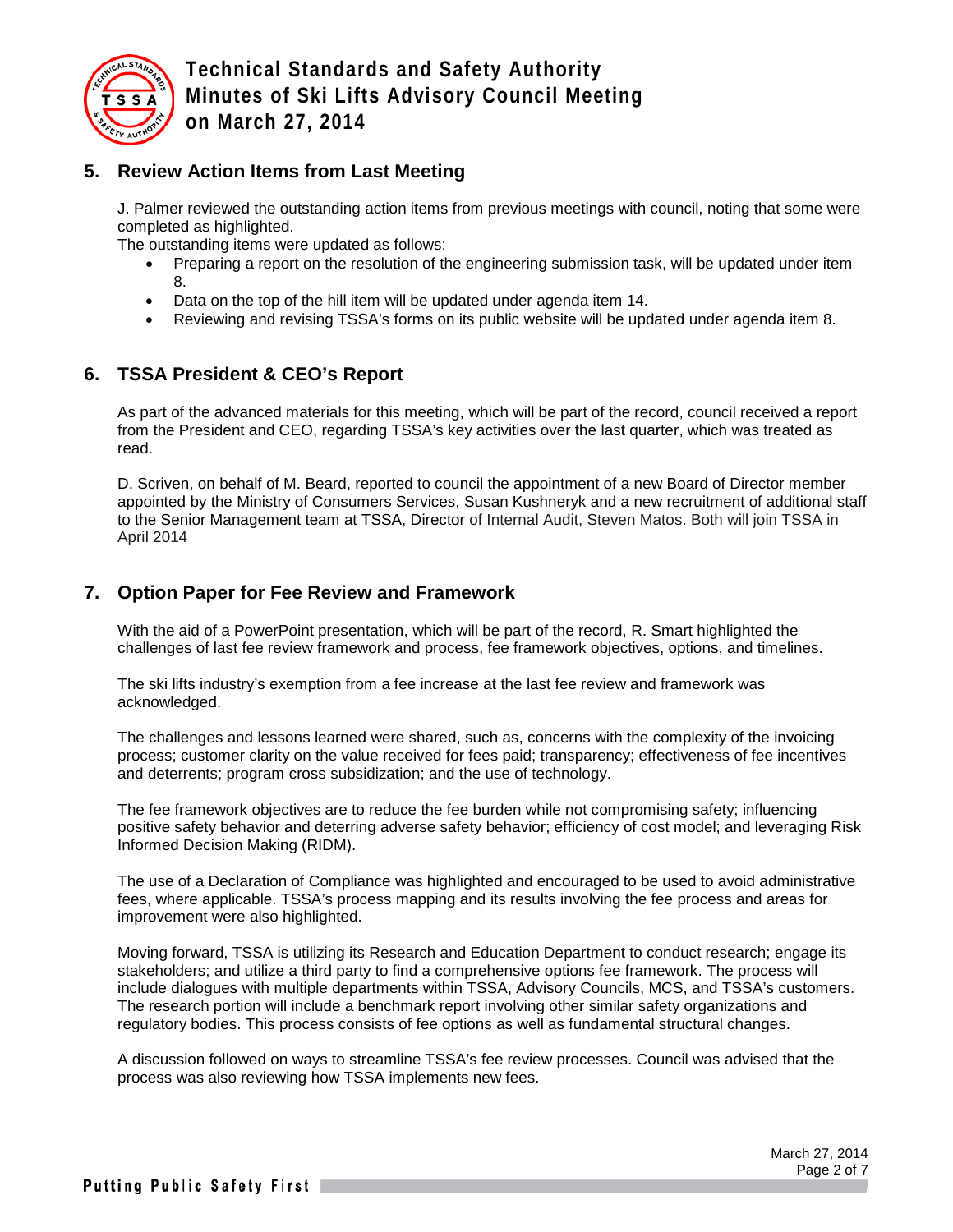

## **5. Review Action Items from Last Meeting**

J. Palmer reviewed the outstanding action items from previous meetings with council, noting that some were completed as highlighted.

The outstanding items were updated as follows:

- Preparing a report on the resolution of the engineering submission task, will be updated under item 8.
- Data on the top of the hill item will be updated under agenda item 14.
- Reviewing and revising TSSA's forms on its public website will be updated under agenda item 8.

## **6. TSSA President & CEO's Report**

As part of the advanced materials for this meeting, which will be part of the record, council received a report from the President and CEO, regarding TSSA's key activities over the last quarter, which was treated as read.

D. Scriven, on behalf of M. Beard, reported to council the appointment of a new Board of Director member appointed by the Ministry of Consumers Services, Susan Kushneryk and a new recruitment of additional staff to the Senior Management team at TSSA, Director of Internal Audit, Steven Matos. Both will join TSSA in April 2014

## **7. Option Paper for Fee Review and Framework**

With the aid of a PowerPoint presentation, which will be part of the record, R. Smart highlighted the challenges of last fee review framework and process, fee framework objectives, options, and timelines.

The ski lifts industry's exemption from a fee increase at the last fee review and framework was acknowledged.

The challenges and lessons learned were shared, such as, concerns with the complexity of the invoicing process; customer clarity on the value received for fees paid; transparency; effectiveness of fee incentives and deterrents; program cross subsidization; and the use of technology.

The fee framework objectives are to reduce the fee burden while not compromising safety; influencing positive safety behavior and deterring adverse safety behavior; efficiency of cost model; and leveraging Risk Informed Decision Making (RIDM).

The use of a Declaration of Compliance was highlighted and encouraged to be used to avoid administrative fees, where applicable. TSSA's process mapping and its results involving the fee process and areas for improvement were also highlighted.

Moving forward, TSSA is utilizing its Research and Education Department to conduct research; engage its stakeholders; and utilize a third party to find a comprehensive options fee framework. The process will include dialogues with multiple departments within TSSA, Advisory Councils, MCS, and TSSA's customers. The research portion will include a benchmark report involving other similar safety organizations and regulatory bodies. This process consists of fee options as well as fundamental structural changes.

A discussion followed on ways to streamline TSSA's fee review processes. Council was advised that the process was also reviewing how TSSA implements new fees.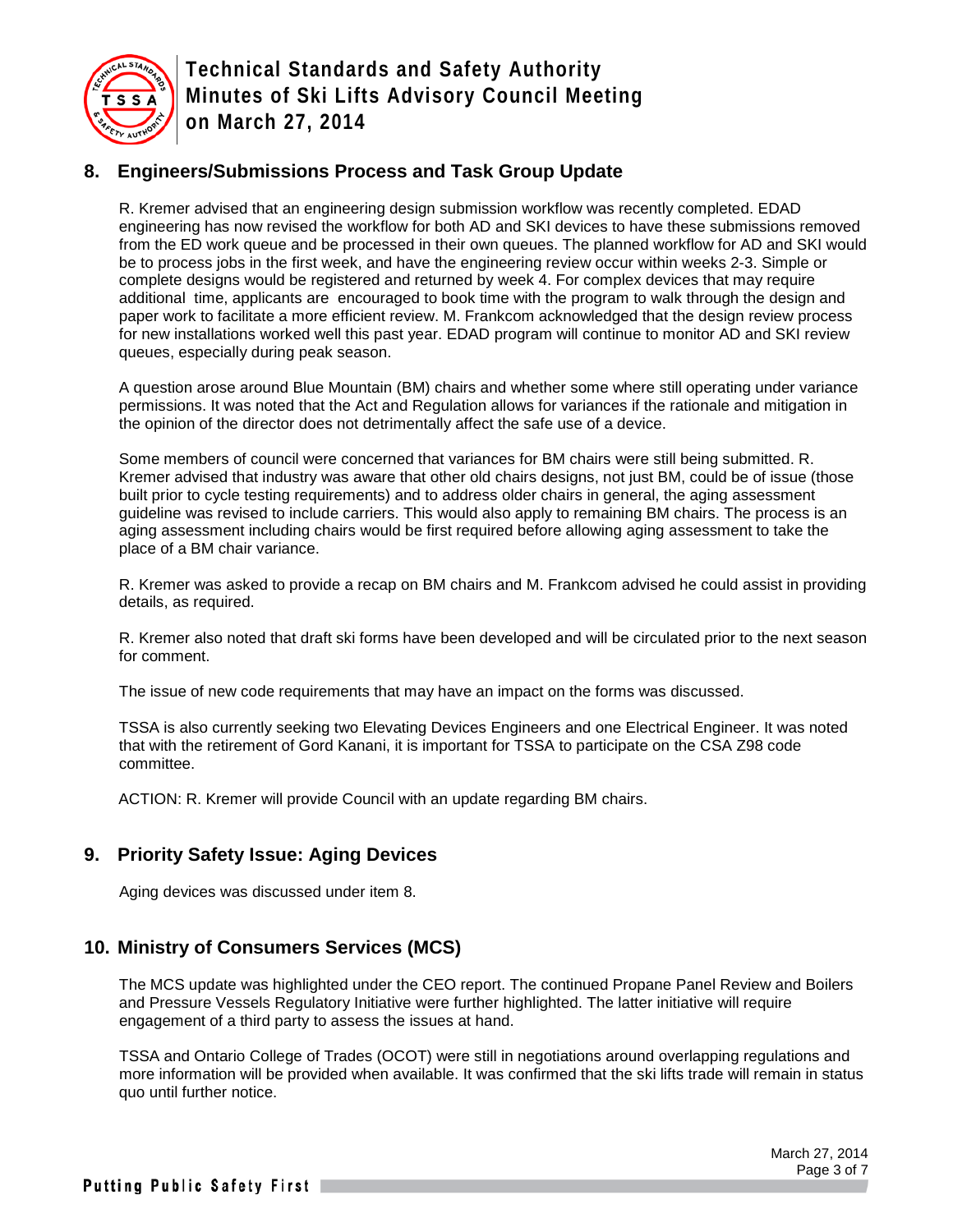

## **8. Engineers/Submissions Process and Task Group Update**

R. Kremer advised that an engineering design submission workflow was recently completed. EDAD engineering has now revised the workflow for both AD and SKI devices to have these submissions removed from the ED work queue and be processed in their own queues. The planned workflow for AD and SKI would be to process jobs in the first week, and have the engineering review occur within weeks 2-3. Simple or complete designs would be registered and returned by week 4. For complex devices that may require additional time, applicants are encouraged to book time with the program to walk through the design and paper work to facilitate a more efficient review. M. Frankcom acknowledged that the design review process for new installations worked well this past year. EDAD program will continue to monitor AD and SKI review queues, especially during peak season.

A question arose around Blue Mountain (BM) chairs and whether some where still operating under variance permissions. It was noted that the Act and Regulation allows for variances if the rationale and mitigation in the opinion of the director does not detrimentally affect the safe use of a device.

Some members of council were concerned that variances for BM chairs were still being submitted. R. Kremer advised that industry was aware that other old chairs designs, not just BM, could be of issue (those built prior to cycle testing requirements) and to address older chairs in general, the aging assessment guideline was revised to include carriers. This would also apply to remaining BM chairs. The process is an aging assessment including chairs would be first required before allowing aging assessment to take the place of a BM chair variance.

R. Kremer was asked to provide a recap on BM chairs and M. Frankcom advised he could assist in providing details, as required.

R. Kremer also noted that draft ski forms have been developed and will be circulated prior to the next season for comment.

The issue of new code requirements that may have an impact on the forms was discussed.

TSSA is also currently seeking two Elevating Devices Engineers and one Electrical Engineer. It was noted that with the retirement of Gord Kanani, it is important for TSSA to participate on the CSA Z98 code committee.

ACTION: R. Kremer will provide Council with an update regarding BM chairs.

## **9. Priority Safety Issue: Aging Devices**

Aging devices was discussed under item 8.

## **10. Ministry of Consumers Services (MCS)**

The MCS update was highlighted under the CEO report. The continued Propane Panel Review and Boilers and Pressure Vessels Regulatory Initiative were further highlighted. The latter initiative will require engagement of a third party to assess the issues at hand.

TSSA and Ontario College of Trades (OCOT) were still in negotiations around overlapping regulations and more information will be provided when available. It was confirmed that the ski lifts trade will remain in status quo until further notice.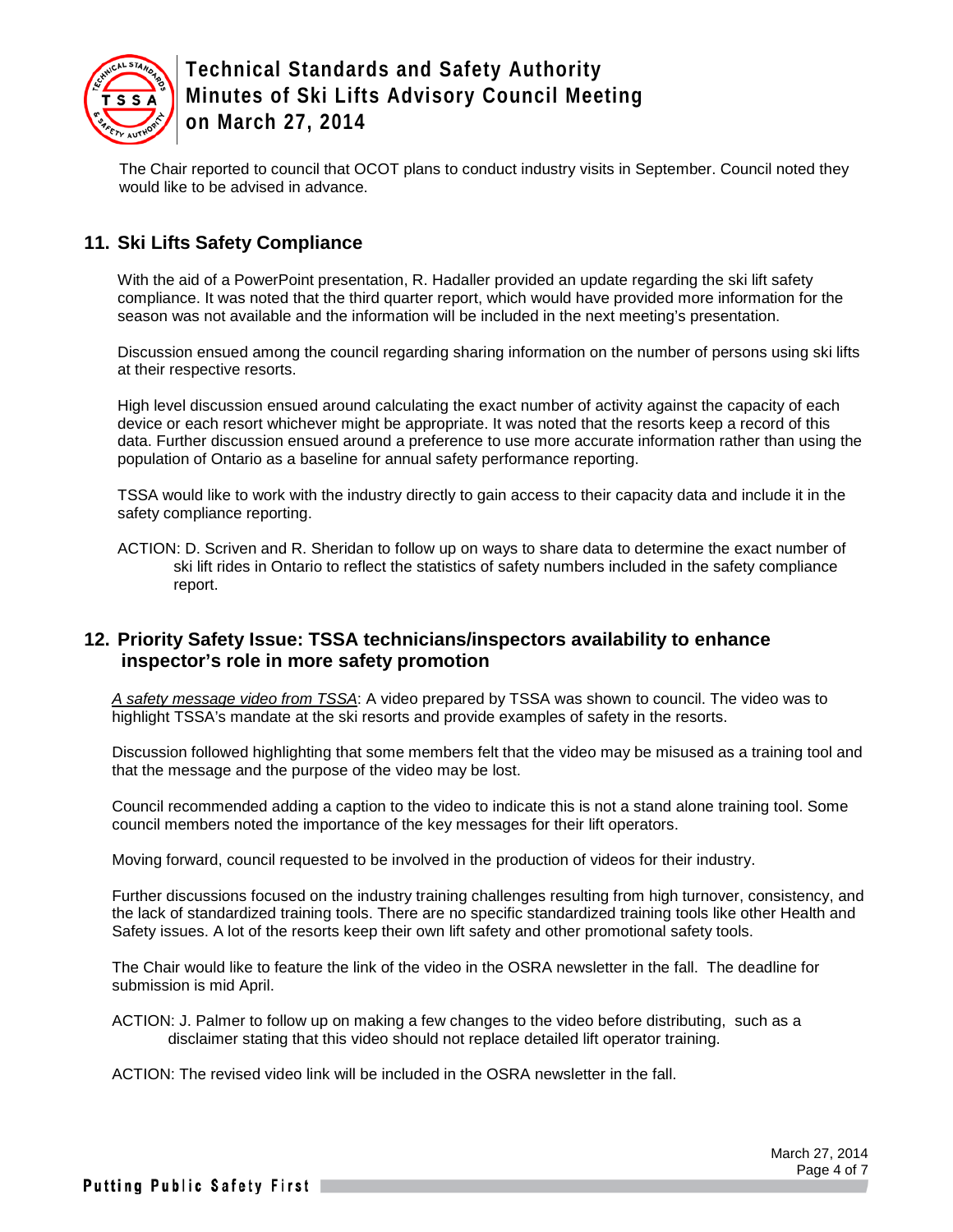

The Chair reported to council that OCOT plans to conduct industry visits in September. Council noted they would like to be advised in advance.

## **11. Ski Lifts Safety Compliance**

With the aid of a PowerPoint presentation, R. Hadaller provided an update regarding the ski lift safety compliance. It was noted that the third quarter report, which would have provided more information for the season was not available and the information will be included in the next meeting's presentation.

Discussion ensued among the council regarding sharing information on the number of persons using ski lifts at their respective resorts.

High level discussion ensued around calculating the exact number of activity against the capacity of each device or each resort whichever might be appropriate. It was noted that the resorts keep a record of this data. Further discussion ensued around a preference to use more accurate information rather than using the population of Ontario as a baseline for annual safety performance reporting.

TSSA would like to work with the industry directly to gain access to their capacity data and include it in the safety compliance reporting.

ACTION: D. Scriven and R. Sheridan to follow up on ways to share data to determine the exact number of ski lift rides in Ontario to reflect the statistics of safety numbers included in the safety compliance report.

#### **12. Priority Safety Issue: TSSA technicians/inspectors availability to enhance inspector's role in more safety promotion**

*A safety message video from TSSA*: A video prepared by TSSA was shown to council. The video was to highlight TSSA's mandate at the ski resorts and provide examples of safety in the resorts.

Discussion followed highlighting that some members felt that the video may be misused as a training tool and that the message and the purpose of the video may be lost.

Council recommended adding a caption to the video to indicate this is not a stand alone training tool. Some council members noted the importance of the key messages for their lift operators.

Moving forward, council requested to be involved in the production of videos for their industry.

Further discussions focused on the industry training challenges resulting from high turnover, consistency, and the lack of standardized training tools. There are no specific standardized training tools like other Health and Safety issues. A lot of the resorts keep their own lift safety and other promotional safety tools.

The Chair would like to feature the link of the video in the OSRA newsletter in the fall. The deadline for submission is mid April.

ACTION: J. Palmer to follow up on making a few changes to the video before distributing, such as a disclaimer stating that this video should not replace detailed lift operator training.

ACTION: The revised video link will be included in the OSRA newsletter in the fall.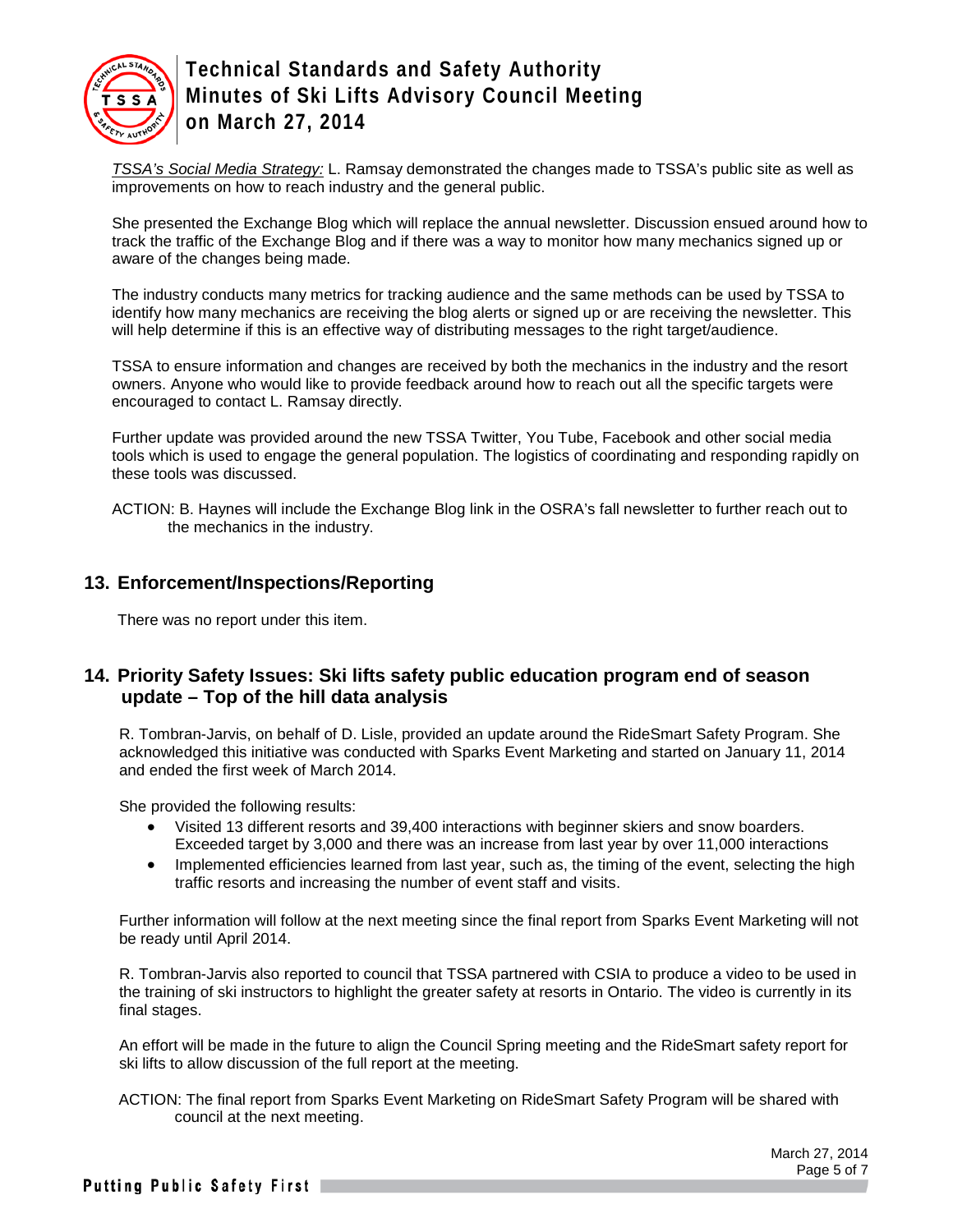

*TSSA's Social Media Strategy:* L. Ramsay demonstrated the changes made to TSSA's public site as well as improvements on how to reach industry and the general public.

She presented the Exchange Blog which will replace the annual newsletter. Discussion ensued around how to track the traffic of the Exchange Blog and if there was a way to monitor how many mechanics signed up or aware of the changes being made.

The industry conducts many metrics for tracking audience and the same methods can be used by TSSA to identify how many mechanics are receiving the blog alerts or signed up or are receiving the newsletter. This will help determine if this is an effective way of distributing messages to the right target/audience.

TSSA to ensure information and changes are received by both the mechanics in the industry and the resort owners. Anyone who would like to provide feedback around how to reach out all the specific targets were encouraged to contact L. Ramsay directly.

Further update was provided around the new TSSA Twitter, You Tube, Facebook and other social media tools which is used to engage the general population. The logistics of coordinating and responding rapidly on these tools was discussed.

ACTION: B. Haynes will include the Exchange Blog link in the OSRA's fall newsletter to further reach out to the mechanics in the industry.

#### **13. Enforcement/Inspections/Reporting**

There was no report under this item.

## **14. Priority Safety Issues: Ski lifts safety public education program end of season update – Top of the hill data analysis**

R. Tombran-Jarvis, on behalf of D. Lisle, provided an update around the RideSmart Safety Program. She acknowledged this initiative was conducted with Sparks Event Marketing and started on January 11, 2014 and ended the first week of March 2014.

She provided the following results:

- Visited 13 different resorts and 39,400 interactions with beginner skiers and snow boarders. Exceeded target by 3,000 and there was an increase from last year by over 11,000 interactions
- Implemented efficiencies learned from last year, such as, the timing of the event, selecting the high traffic resorts and increasing the number of event staff and visits.

Further information will follow at the next meeting since the final report from Sparks Event Marketing will not be ready until April 2014.

R. Tombran-Jarvis also reported to council that TSSA partnered with CSIA to produce a video to be used in the training of ski instructors to highlight the greater safety at resorts in Ontario. The video is currently in its final stages.

An effort will be made in the future to align the Council Spring meeting and the RideSmart safety report for ski lifts to allow discussion of the full report at the meeting.

ACTION: The final report from Sparks Event Marketing on RideSmart Safety Program will be shared with council at the next meeting.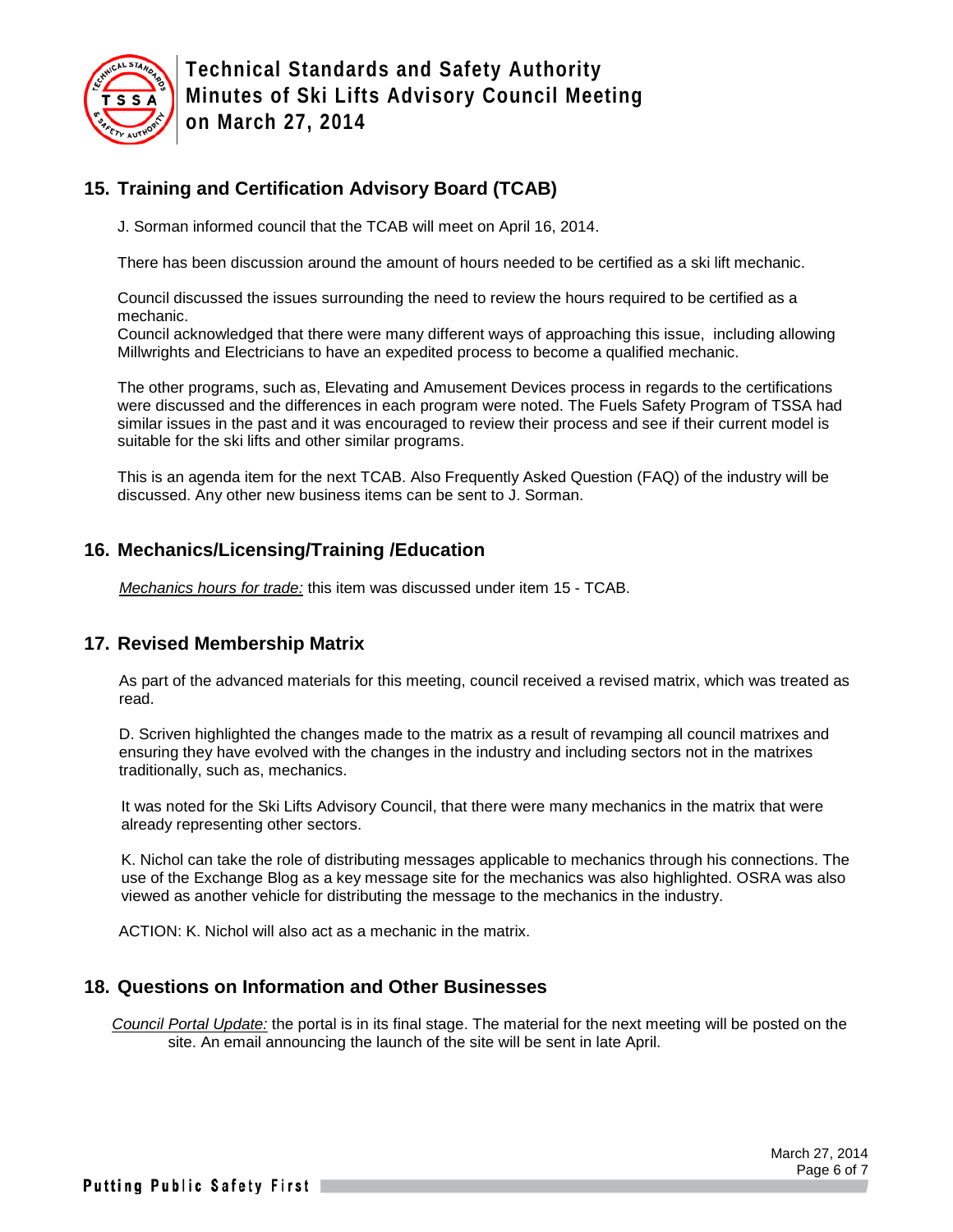

## **15. Training and Certification Advisory Board (TCAB)**

J. Sorman informed council that the TCAB will meet on April 16, 2014.

There has been discussion around the amount of hours needed to be certified as a ski lift mechanic.

Council discussed the issues surrounding the need to review the hours required to be certified as a mechanic.

Council acknowledged that there were many different ways of approaching this issue, including allowing Millwrights and Electricians to have an expedited process to become a qualified mechanic.

The other programs, such as, Elevating and Amusement Devices process in regards to the certifications were discussed and the differences in each program were noted. The Fuels Safety Program of TSSA had similar issues in the past and it was encouraged to review their process and see if their current model is suitable for the ski lifts and other similar programs.

This is an agenda item for the next TCAB. Also Frequently Asked Question (FAQ) of the industry will be discussed. Any other new business items can be sent to J. Sorman.

## **16. Mechanics/Licensing/Training /Education**

*Mechanics hours for trade:* this item was discussed under item 15 - TCAB.

#### **17. Revised Membership Matrix**

As part of the advanced materials for this meeting, council received a revised matrix, which was treated as read.

D. Scriven highlighted the changes made to the matrix as a result of revamping all council matrixes and ensuring they have evolved with the changes in the industry and including sectors not in the matrixes traditionally, such as, mechanics.

It was noted for the Ski Lifts Advisory Council, that there were many mechanics in the matrix that were already representing other sectors.

K. Nichol can take the role of distributing messages applicable to mechanics through his connections. The use of the Exchange Blog as a key message site for the mechanics was also highlighted. OSRA was also viewed as another vehicle for distributing the message to the mechanics in the industry.

ACTION: K. Nichol will also act as a mechanic in the matrix.

#### **18. Questions on Information and Other Businesses**

*Council Portal Update:* the portal is in its final stage. The material for the next meeting will be posted on the site. An email announcing the launch of the site will be sent in late April.